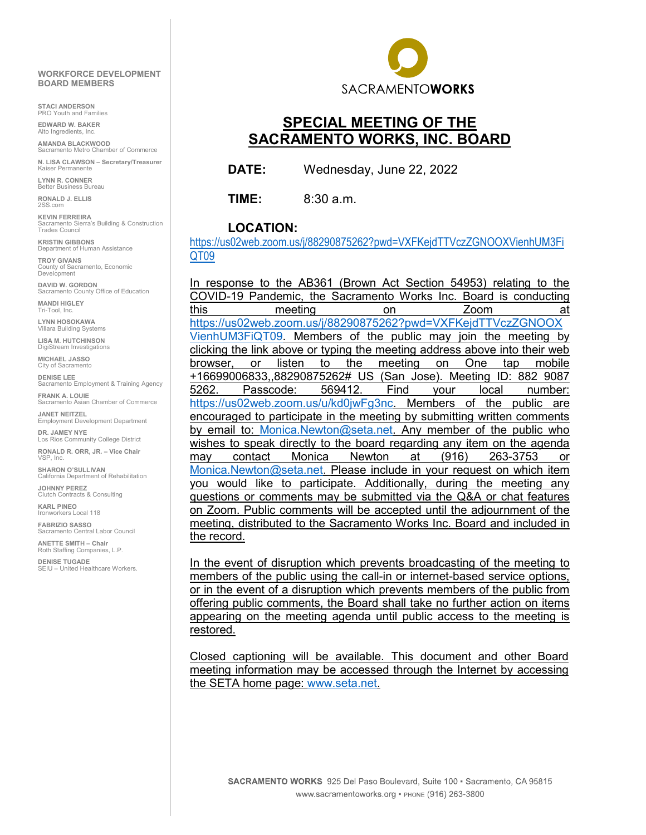#### **WORKFORCE DEVELOPMENT BOARD MEMBERS**

**STACI ANDERSON** PRO Youth and Families

**EDWARD W. BAKER** Alto Ingredients, Inc.

**AMANDA BLACKWOOD** Sacramento Metro Chamber of Commerce

**N. LISA CLAWSON – Secretary/Treasurer** Kaiser Permanente

**LYNN R. CONNER**  Better Business Bureau

**RONALD J. ELLIS** 2SS.com

**KEVIN FERREIRA** Sacramento Sierra's Building & Construction Trades Council

**KRISTIN GIBBONS** Department of Human Assistance

**TROY GIVANS** ...\_<br>acramento, Economic County of Sac<br>Development

**DAVID W. GORDON Sacramento County Office of Education** 

**MANDI HIGLEY** Tri-Tool, Inc.

**LYNN HOSOKAWA** Villara Building Systems

**LISA M. HUTCHINSON** DigiStream Investigations

**MICHAEL JASSO** City of Sacramento

**DENISE LEE ECOMBLE 2012**<br>Sacramento Employment & Training Agency

**FRANK A. LOUIE** Sacramento Asian Chamber of Commerce

**JANET NEITZEL** Employment Development Department **DR. JAMEY NYE**

Los Rios Community College District **RONALD R. ORR, JR. – Vice Chair** VSP, Inc.

**SHARON O'SULLIVAN** alifornia Department of Rehabilitation

**JOHNNY PEREZ**  Clutch Contracts & Consulting

**KARL PINEO**  Ironworkers Local 118

**FABRIZIO SASSO** Sacramento Central Labor Council

**ANETTE SMITH – Chair** Roth Staffing Companies, L.P.

**DENISE TUGADE**  SEIU – United Healthcare Workers.



# **SPECIAL MEETING OF THE SACRAMENTO WORKS, INC. BOARD**

**DATE:** Wednesday, June 22, 2022

**TIME:** 8:30 a.m.

#### **LOCATION:**

[https://us02web.zoom.us/j/88290875262?pwd=VXFKejdTTVczZGNOOXVienhUM3Fi](https://us02web.zoom.us/j/88290875262?pwd=VXFKejdTTVczZGNOOXVienhUM3FiQT09) [QT09](https://us02web.zoom.us/j/88290875262?pwd=VXFKejdTTVczZGNOOXVienhUM3FiQT09)

In response to the AB361 (Brown Act Section 54953) relating to the COVID-19 Pandemic, the Sacramento Works Inc. Board is conducting this meeting on Zoom at [https://us02web.zoom.us/j/88290875262?pwd=VXFKejdTTVczZGNOOX](https://us02web.zoom.us/j/88290875262?pwd=VXFKejdTTVczZGNOOXVienhUM3FiQT09) [VienhUM3FiQT09.](https://us02web.zoom.us/j/88290875262?pwd=VXFKejdTTVczZGNOOXVienhUM3FiQT09) Members of the public may join the meeting by clicking the link above or typing the meeting address above into their web browser, or listen to the meeting on One tap mobile +16699006833,,88290875262# US (San Jose). Meeting ID: 882 9087 5262. Passcode: 569412. Find your local number: [https://us02web.zoom.us/u/kd0jwFg3nc.](https://us02web.zoom.us/u/kd0jwFg3nc) Members of the public are encouraged to participate in the meeting by submitting written comments by email to: [Monica.Newton@seta.net.](mailto:Monica.Newton@seta.net) Any member of the public who wishes to speak directly to the board regarding any item on the agenda may contact Monica Newton at (916) 263-3753 or [Monica.Newton@seta.net.](mailto:Monica.Newton@seta.net) Please include in your request on which item you would like to participate. Additionally, during the meeting any questions or comments may be submitted via the Q&A or chat features on Zoom. Public comments will be accepted until the adjournment of the meeting, distributed to the Sacramento Works Inc. Board and included in the record.

In the event of disruption which prevents broadcasting of the meeting to members of the public using the call-in or internet-based service options, or in the event of a disruption which prevents members of the public from offering public comments, the Board shall take no further action on items appearing on the meeting agenda until public access to the meeting is restored.

Closed captioning will be available. This document and other Board meeting information may be accessed through the Internet by accessing the SETA home page: [www.seta.net.](http://www.seta.net/)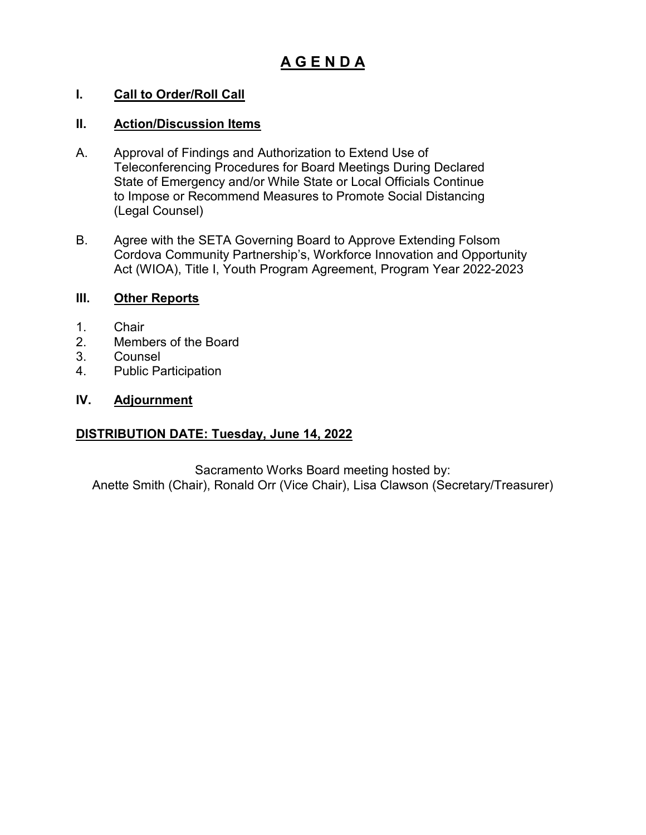# **A G E N D A**

# **I. Call to Order/Roll Call**

# **II. Action/Discussion Items**

- A. Approval of Findings and Authorization to Extend Use of Teleconferencing Procedures for Board Meetings During Declared State of Emergency and/or While State or Local Officials Continue to Impose or Recommend Measures to Promote Social Distancing (Legal Counsel)
- B. Agree with the SETA Governing Board to Approve Extending Folsom Cordova Community Partnership's, Workforce Innovation and Opportunity Act (WIOA), Title I, Youth Program Agreement, Program Year 2022-2023

### **III. Other Reports**

- 1. Chair
- 2. Members of the Board
- 3. Counsel
- 4. Public Participation

# **IV. Adjournment**

# **DISTRIBUTION DATE: Tuesday, June 14, 2022**

Sacramento Works Board meeting hosted by: Anette Smith (Chair), Ronald Orr (Vice Chair), Lisa Clawson (Secretary/Treasurer)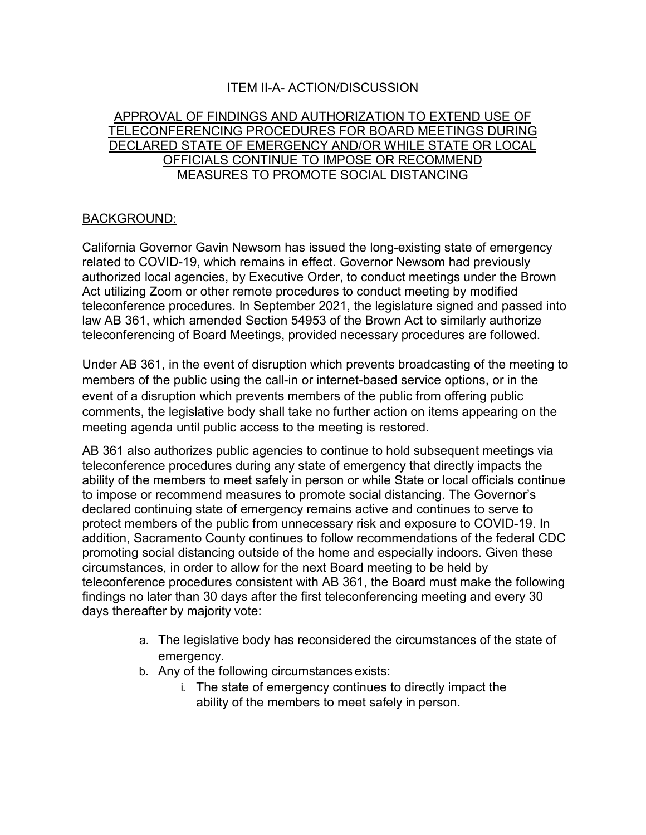# ITEM II-A- ACTION/DISCUSSION

### APPROVAL OF FINDINGS AND AUTHORIZATION TO EXTEND USE OF TELECONFERENCING PROCEDURES FOR BOARD MEETINGS DURING DECLARED STATE OF EMERGENCY AND/OR WHILE STATE OR LOCAL OFFICIALS CONTINUE TO IMPOSE OR RECOMMEND MEASURES TO PROMOTE SOCIAL DISTANCING

#### BACKGROUND:

California Governor Gavin Newsom has issued the long-existing state of emergency related to COVID-19, which remains in effect. Governor Newsom had previously authorized local agencies, by Executive Order, to conduct meetings under the Brown Act utilizing Zoom or other remote procedures to conduct meeting by modified teleconference procedures. In September 2021, the legislature signed and passed into law AB 361, which amended Section 54953 of the Brown Act to similarly authorize teleconferencing of Board Meetings, provided necessary procedures are followed.

Under AB 361, in the event of disruption which prevents broadcasting of the meeting to members of the public using the call-in or internet-based service options, or in the event of a disruption which prevents members of the public from offering public comments, the legislative body shall take no further action on items appearing on the meeting agenda until public access to the meeting is restored.

AB 361 also authorizes public agencies to continue to hold subsequent meetings via teleconference procedures during any state of emergency that directly impacts the ability of the members to meet safely in person or while State or local officials continue to impose or recommend measures to promote social distancing. The Governor's declared continuing state of emergency remains active and continues to serve to protect members of the public from unnecessary risk and exposure to COVID-19. In addition, Sacramento County continues to follow recommendations of the federal CDC promoting social distancing outside of the home and especially indoors. Given these circumstances, in order to allow for the next Board meeting to be held by teleconference procedures consistent with AB 361, the Board must make the following findings no later than 30 days after the first teleconferencing meeting and every 30 days thereafter by majority vote:

- a. The legislative body has reconsidered the circumstances of the state of emergency.
- b. Any of the following circumstances exists:
	- i. The state of emergency continues to directly impact the ability of the members to meet safely in person.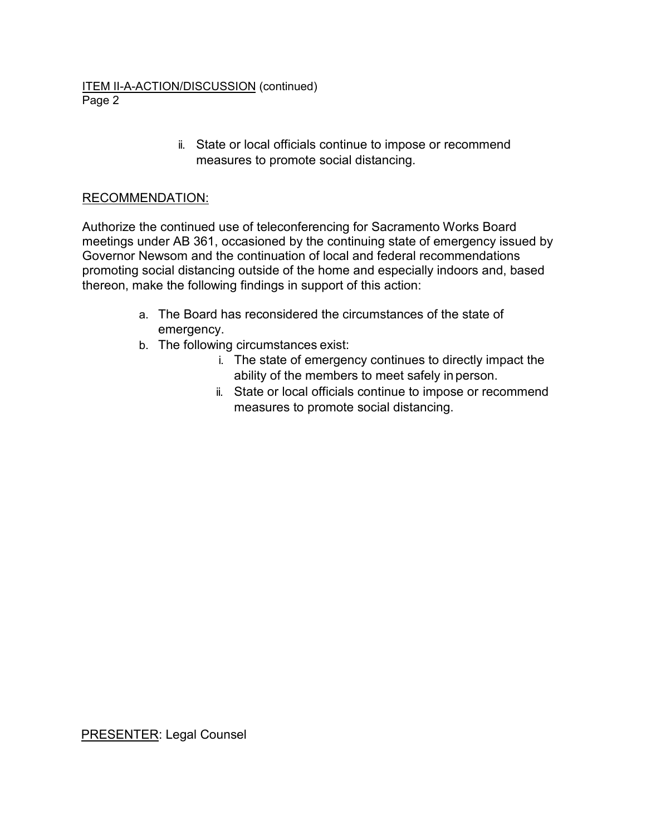#### ITEM II-A-ACTION/DISCUSSION (continued) Page 2

ii. State or local officials continue to impose or recommend measures to promote social distancing.

# RECOMMENDATION:

Authorize the continued use of teleconferencing for Sacramento Works Board meetings under AB 361, occasioned by the continuing state of emergency issued by Governor Newsom and the continuation of local and federal recommendations promoting social distancing outside of the home and especially indoors and, based thereon, make the following findings in support of this action:

- a. The Board has reconsidered the circumstances of the state of emergency.
- b. The following circumstances exist:
	- i. The state of emergency continues to directly impact the ability of the members to meet safely in person.
	- ii. State or local officials continue to impose or recommend measures to promote social distancing.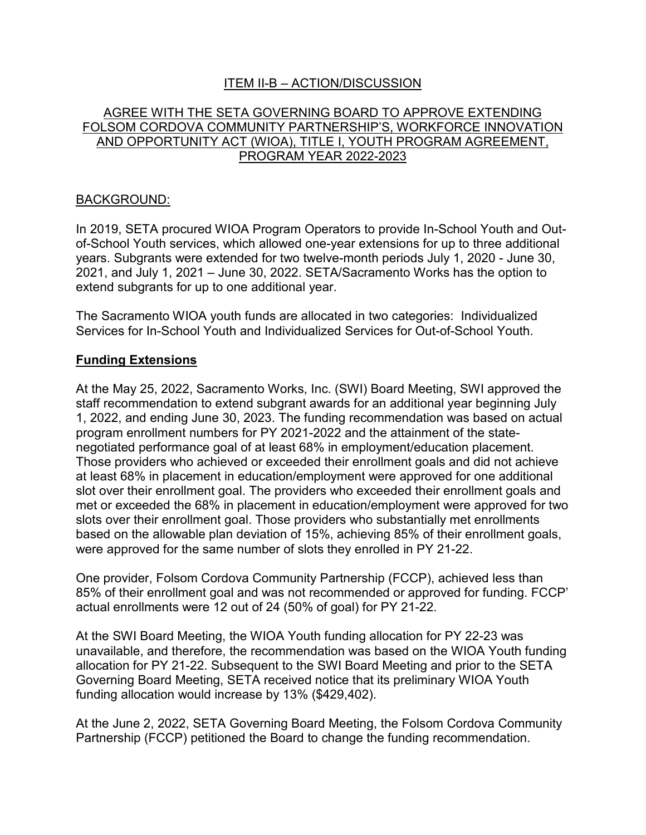# ITEM II-B – ACTION/DISCUSSION

# AGREE WITH THE SETA GOVERNING BOARD TO APPROVE EXTENDING FOLSOM CORDOVA COMMUNITY PARTNERSHIP'S, WORKFORCE INNOVATION AND OPPORTUNITY ACT (WIOA), TITLE I, YOUTH PROGRAM AGREEMENT, PROGRAM YEAR 2022-2023

# BACKGROUND:

In 2019, SETA procured WIOA Program Operators to provide In-School Youth and Outof-School Youth services, which allowed one-year extensions for up to three additional years. Subgrants were extended for two twelve-month periods July 1, 2020 - June 30, 2021, and July 1, 2021 – June 30, 2022. SETA/Sacramento Works has the option to extend subgrants for up to one additional year.

The Sacramento WIOA youth funds are allocated in two categories: Individualized Services for In-School Youth and Individualized Services for Out-of-School Youth.

### **Funding Extensions**

At the May 25, 2022, Sacramento Works, Inc. (SWI) Board Meeting, SWI approved the staff recommendation to extend subgrant awards for an additional year beginning July 1, 2022, and ending June 30, 2023. The funding recommendation was based on actual program enrollment numbers for PY 2021-2022 and the attainment of the statenegotiated performance goal of at least 68% in employment/education placement. Those providers who achieved or exceeded their enrollment goals and did not achieve at least 68% in placement in education/employment were approved for one additional slot over their enrollment goal. The providers who exceeded their enrollment goals and met or exceeded the 68% in placement in education/employment were approved for two slots over their enrollment goal. Those providers who substantially met enrollments based on the allowable plan deviation of 15%, achieving 85% of their enrollment goals, were approved for the same number of slots they enrolled in PY 21-22.

One provider, Folsom Cordova Community Partnership (FCCP), achieved less than 85% of their enrollment goal and was not recommended or approved for funding. FCCP' actual enrollments were 12 out of 24 (50% of goal) for PY 21-22.

At the SWI Board Meeting, the WIOA Youth funding allocation for PY 22-23 was unavailable, and therefore, the recommendation was based on the WIOA Youth funding allocation for PY 21-22. Subsequent to the SWI Board Meeting and prior to the SETA Governing Board Meeting, SETA received notice that its preliminary WIOA Youth funding allocation would increase by 13% (\$429,402).

At the June 2, 2022, SETA Governing Board Meeting, the Folsom Cordova Community Partnership (FCCP) petitioned the Board to change the funding recommendation.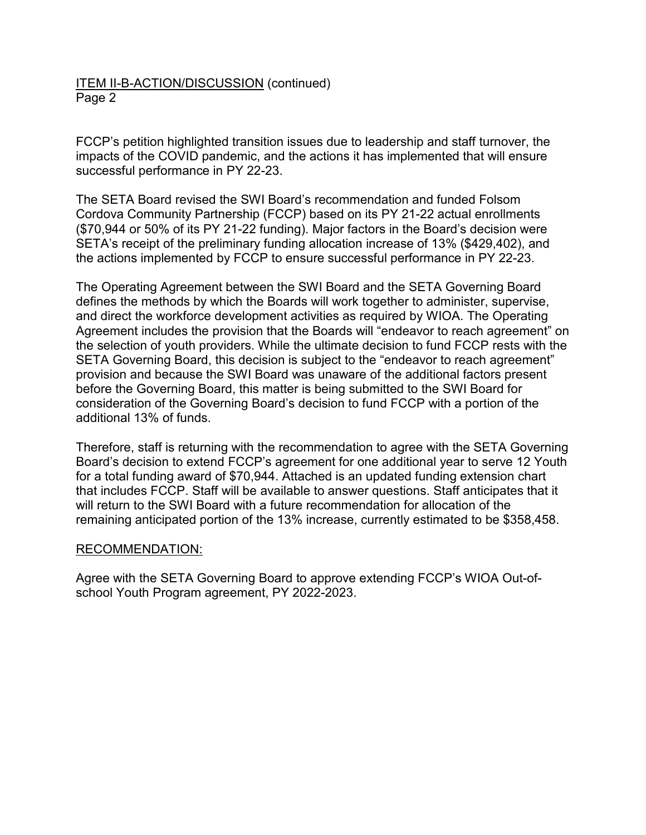# ITEM II-B-ACTION/DISCUSSION (continued) Page 2

FCCP's petition highlighted transition issues due to leadership and staff turnover, the impacts of the COVID pandemic, and the actions it has implemented that will ensure successful performance in PY 22-23.

The SETA Board revised the SWI Board's recommendation and funded Folsom Cordova Community Partnership (FCCP) based on its PY 21-22 actual enrollments (\$70,944 or 50% of its PY 21-22 funding). Major factors in the Board's decision were SETA's receipt of the preliminary funding allocation increase of 13% (\$429,402), and the actions implemented by FCCP to ensure successful performance in PY 22-23.

The Operating Agreement between the SWI Board and the SETA Governing Board defines the methods by which the Boards will work together to administer, supervise, and direct the workforce development activities as required by WIOA. The Operating Agreement includes the provision that the Boards will "endeavor to reach agreement" on the selection of youth providers. While the ultimate decision to fund FCCP rests with the SETA Governing Board, this decision is subject to the "endeavor to reach agreement" provision and because the SWI Board was unaware of the additional factors present before the Governing Board, this matter is being submitted to the SWI Board for consideration of the Governing Board's decision to fund FCCP with a portion of the additional 13% of funds.

Therefore, staff is returning with the recommendation to agree with the SETA Governing Board's decision to extend FCCP's agreement for one additional year to serve 12 Youth for a total funding award of \$70,944. Attached is an updated funding extension chart that includes FCCP. Staff will be available to answer questions. Staff anticipates that it will return to the SWI Board with a future recommendation for allocation of the remaining anticipated portion of the 13% increase, currently estimated to be \$358,458.

### RECOMMENDATION:

Agree with the SETA Governing Board to approve extending FCCP's WIOA Out-ofschool Youth Program agreement, PY 2022-2023.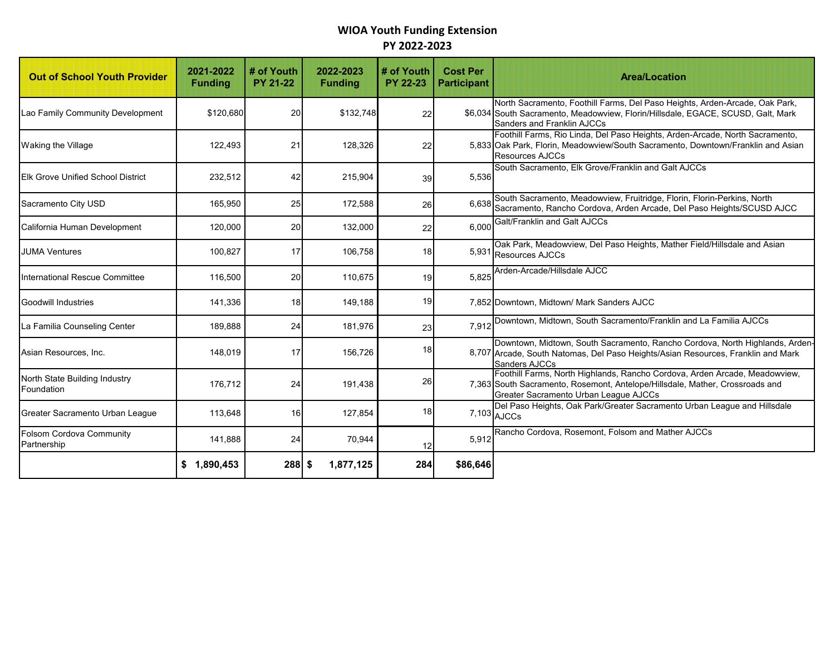# **WIOA Youth Funding Extension PY 2022-2023**

| <b>Out of School Youth Provider</b>         | 2021-2022<br><b>Funding</b> | # of Youth<br><b>PY 21-22</b> | 2022-2023<br><b>Funding</b> | # of Youth<br><b>PY 22-23</b> | <b>Cost Per</b><br><b>Participant</b> | <b>Area/Location</b>                                                                                                                                                                                |  |  |
|---------------------------------------------|-----------------------------|-------------------------------|-----------------------------|-------------------------------|---------------------------------------|-----------------------------------------------------------------------------------------------------------------------------------------------------------------------------------------------------|--|--|
| Lao Family Community Development            | \$120,680                   | 20                            | \$132,748                   | 22                            |                                       | North Sacramento, Foothill Farms, Del Paso Heights, Arden-Arcade, Oak Park,<br>\$6,034 South Sacramento, Meadowview, Florin/Hillsdale, EGACE, SCUSD, Galt, Mark<br>Sanders and Franklin AJCCs       |  |  |
| Waking the Village                          | 122,493                     | 21                            | 128,326                     | 22                            |                                       | Foothill Farms, Rio Linda, Del Paso Heights, Arden-Arcade, North Sacramento,<br>5,833 Oak Park, Florin, Meadowview/South Sacramento, Downtown/Franklin and Asian<br><b>Resources AJCCs</b>          |  |  |
| <b>Elk Grove Unified School District</b>    | 232,512                     | 42                            | 215,904                     | 39                            | 5,536                                 | South Sacramento, Elk Grove/Franklin and Galt AJCCs                                                                                                                                                 |  |  |
| Sacramento City USD                         | 165,950                     | 25                            | 172,588                     | 26                            | 6,638                                 | South Sacramento, Meadowview, Fruitridge, Florin, Florin-Perkins, North<br>Sacramento, Rancho Cordova, Arden Arcade, Del Paso Heights/SCUSD AJCC                                                    |  |  |
| California Human Development                | 120,000                     | 20                            | 132,000                     | 22                            | 6,000                                 | Galt/Franklin and Galt AJCCs                                                                                                                                                                        |  |  |
| <b>JUMA Ventures</b>                        | 100,827                     | 17                            | 106,758                     | 18                            |                                       | Oak Park, Meadowview, Del Paso Heights, Mather Field/Hillsdale and Asian<br>5,931 Resources AJCCs                                                                                                   |  |  |
| International Rescue Committee              | 116,500                     | 20                            | 110,675                     | 19                            | 5.825                                 | Arden-Arcade/Hillsdale AJCC                                                                                                                                                                         |  |  |
| <b>Goodwill Industries</b>                  | 141,336                     | 18                            | 149,188                     | 19                            |                                       | 7,852 Downtown, Midtown/ Mark Sanders AJCC                                                                                                                                                          |  |  |
| La Familia Counseling Center                | 189,888                     | 24                            | 181,976                     | 23                            | 7,912                                 | Downtown, Midtown, South Sacramento/Franklin and La Familia AJCCs                                                                                                                                   |  |  |
| Asian Resources, Inc.                       | 148,019                     | 17                            | 156,726                     | 18                            |                                       | Downtown, Midtown, South Sacramento, Rancho Cordova, North Highlands, Arden-<br>8,707 Arcade, South Natomas, Del Paso Heights/Asian Resources, Franklin and Mark<br>Sanders AJCCs                   |  |  |
| North State Building Industry<br>Foundation | 176,712                     | 24                            | 191,438                     | 26                            |                                       | Foothill Farms, North Highlands, Rancho Cordova, Arden Arcade, Meadowview,<br>7,363 South Sacramento, Rosemont, Antelope/Hillsdale, Mather, Crossroads and<br>Greater Sacramento Urban League AJCCs |  |  |
| Greater Sacramento Urban League             | 113,648                     | 16                            | 127,854                     | 18                            |                                       | Del Paso Heights, Oak Park/Greater Sacramento Urban League and Hillsdale<br>$7,103$ $AJCCs$                                                                                                         |  |  |
| Folsom Cordova Community<br>Partnership     | 141,888                     | 24                            | 70,944                      | 12                            | 5,912                                 | Rancho Cordova, Rosemont, Folsom and Mather AJCCs                                                                                                                                                   |  |  |
|                                             | \$1,890,453                 | $288$ \$                      | 1,877,125                   | 284                           | \$86,646                              |                                                                                                                                                                                                     |  |  |